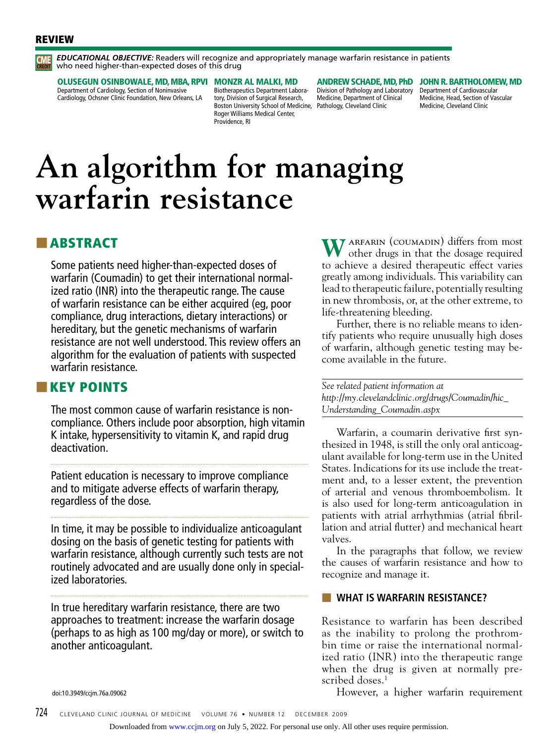#### REVIEW

*EDUCATIONAL OBJECTIVE:* Readers will recognize and appropriately manage warfarin resistance in patients who need higher-than-expected doses of this drug **CREDIT** CME

Olusegun Osinbowale, MD, MBA , RPVI Monzr Al Malki, MD

Department of Cardiology, Section of Noninvasive Cardiology, Ochsner Clinic Foundation, New Orleans, LA

Biotherapeutics Department Laboratory, Division of Surgical Research, Boston University School of Medicine, Roger Williams Medical Center, Providence, RI

Division of Pathology and Laboratory Department of Cardiovascular Medicine, Department of Clinical Pathology, Cleveland Clinic

Andrew Schade, MD, PhD John R. Bartholomew, MD

Medicine, Head, Section of Vascular Medicine, Cleveland Clinic

# **An algorithm for managing warfarin resistance**

### ■ ABSTRACT

Some patients need higher-than-expected doses of warfarin (Coumadin) to get their international normalized ratio (INR) into the therapeutic range. The cause of warfarin resistance can be either acquired (eg, poor compliance, drug interactions, dietary interactions) or hereditary, but the genetic mechanisms of warfarin resistance are not well understood. This review offers an algorithm for the evaluation of patients with suspected warfarin resistance.

#### **KEY POINTS**

The most common cause of warfarin resistance is noncompliance. Others include poor absorption, high vitamin K intake, hypersensitivity to vitamin K, and rapid drug deactivation.

Patient education is necessary to improve compliance and to mitigate adverse effects of warfarin therapy, regardless of the dose.

In time, it may be possible to individualize anticoagulant dosing on the basis of genetic testing for patients with warfarin resistance, although currently such tests are not routinely advocated and are usually done only in specialized laboratories.

In true hereditary warfarin resistance, there are two approaches to treatment: increase the warfarin dosage (perhaps to as high as 100 mg/day or more), or switch to another anticoagulant.

**W**arfarin (coumadin) differs from most other drugs in that the dosage required to achieve a desired therapeutic effect varies greatly among individuals. This variability can lead to therapeutic failure, potentially resulting in new thrombosis, or, at the other extreme, to life-threatening bleeding.

Further, there is no reliable means to identify patients who require unusually high doses of warfarin, although genetic testing may become available in the future.

*See related patient information at http://my.clevelandclinic.org/drugs/Coumadin/hic\_ Understanding\_Coumadin.aspx*

Warfarin, a coumarin derivative first synthesized in 1948, is still the only oral anticoagulant available for long-term use in the United States. Indications for its use include the treatment and, to a lesser extent, the prevention of arterial and venous thromboembolism. It is also used for long-term anticoagulation in patients with atrial arrhythmias (atrial fibrillation and atrial flutter) and mechanical heart valves.

In the paragraphs that follow, we review the causes of warfarin resistance and how to recognize and manage it.

#### **WHAT IS WARFARIN RESISTANCE?**

Resistance to warfarin has been described as the inability to prolong the prothrombin time or raise the international normalized ratio (INR) into the therapeutic range when the drug is given at normally prescribed doses.<sup>1</sup>

However, a higher warfarin requirement

doi:10.3949/ccjm.76a.09062

Downloaded from [www.ccjm.org](http://www.ccjm.org/) on July 5, 2022. For personal use only. All other uses require permission.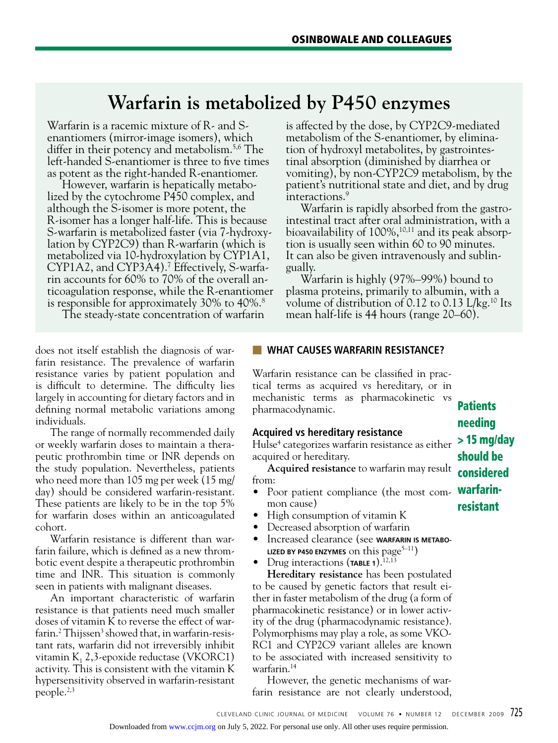## **Warfarin is metabolized by P450 enzymes**

Warfarin is a racemic mixture of R- and Senantiomers (mirror-image isomers), which differ in their potency and metabolism.<sup>5,6</sup> The left-handed S-enantiomer is three to five times as potent as the right-handed R-enantiomer.

However, warfarin is hepatically metabolized by the cytochrome P450 complex, and although the S-isomer is more potent, the R-isomer has a longer half-life. This is because S-warfarin is metabolized faster (via 7-hydroxylation by CYP2C9) than R-warfarin (which is metabolized via 10-hydroxylation by CYP1A1, CYP1A2, and CYP3A4).7 Effectively, S-warfarin accounts for 60% to 70% of the overall anticoagulation response, while the R-enantiomer is responsible for approximately 30% to 40%.<sup>8</sup>

The steady-state concentration of warfarin

does not itself establish the diagnosis of warfarin resistance. The prevalence of warfarin resistance varies by patient population and is difficult to determine. The difficulty lies largely in accounting for dietary factors and in defining normal metabolic variations among individuals.

The range of normally recommended daily or weekly warfarin doses to maintain a therapeutic prothrombin time or INR depends on the study population. Nevertheless, patients who need more than 105 mg per week (15 mg/ day) should be considered warfarin-resistant. These patients are likely to be in the top 5% for warfarin doses within an anticoagulated cohort.

Warfarin resistance is different than warfarin failure, which is defined as a new thrombotic event despite a therapeutic prothrombin time and INR. This situation is commonly seen in patients with malignant diseases.

An important characteristic of warfarin resistance is that patients need much smaller doses of vitamin K to reverse the effect of warfarin.<sup>2</sup> Thijssen<sup>3</sup> showed that, in warfarin-resistant rats, warfarin did not irreversibly inhibit vitamin  $K<sub>1</sub>$  2,3-epoxide reductase (VKORC1) activity. This is consistent with the vitamin K hypersensitivity observed in warfarin-resistant people.2,3

is affected by the dose, by CYP2C9-mediated metabolism of the S-enantiomer, by elimination of hydroxyl metabolites, by gastrointestinal absorption (diminished by diarrhea or vomiting), by non-CYP2C9 metabolism, by the patient's nutritional state and diet, and by drug interactions.9

Warfarin is rapidly absorbed from the gastrointestinal tract after oral administration, with a bioavailability of 100%,<sup>10,11</sup> and its peak absorption is usually seen within 60 to 90 minutes. It can also be given intravenously and sublingually.

Warfarin is highly (97%–99%) bound to plasma proteins, primarily to albumin, with a volume of distribution of 0.12 to 0.13 L/kg.<sup>10</sup> Its mean half-life is 44 hours (range 20–60).

#### ■ **WHAT CAUSES WARFARIN RESISTANCE?**

Warfarin resistance can be classified in practical terms as acquired vs hereditary, or in mechanistic terms as pharmacokinetic vs pharmacodynamic.

#### **Acquired vs hereditary resistance**

Hulse<sup>4</sup> categorizes warfarin resistance as either acquired or hereditary.

**Acquired resistance** to warfarin may result from:

- Poor patient compliance (the most common cause)
- High consumption of vitamin K
- Decreased absorption of warfarin
- Increased clearance (see **WARFARIN IS METABO-LIZED BY P450 ENZYMES** on this page<sup>5–11</sup>)
- Drug interactions (TABLE 1).<sup>12,13</sup>

**Hereditary resistance** has been postulated to be caused by genetic factors that result either in faster metabolism of the drug (a form of pharmacokinetic resistance) or in lower activity of the drug (pharmacodynamic resistance). Polymorphisms may play a role, as some VKO-RC1 and CYP2C9 variant alleles are known to be associated with increased sensitivity to warfarin.14

However, the genetic mechanisms of warfarin resistance are not clearly understood,

**Patients** needing > 15 mg/day should be considered warfarinresistant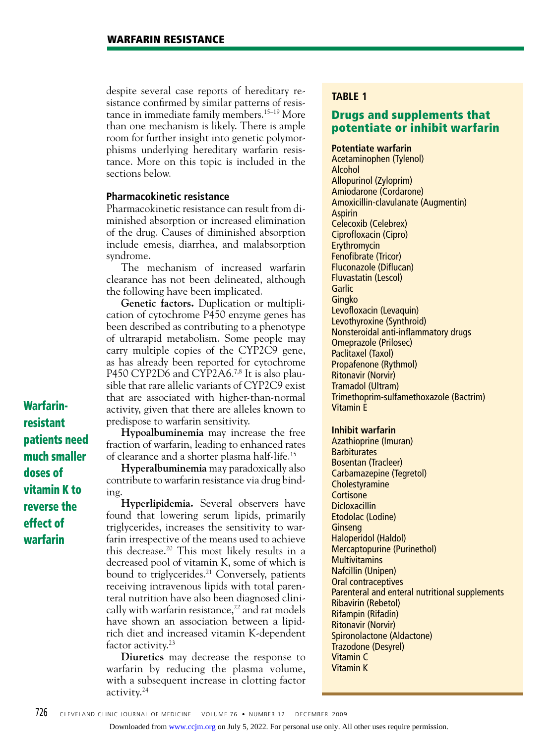despite several case reports of hereditary resistance confirmed by similar patterns of resistance in immediate family members.<sup>15-19</sup> More than one mechanism is likely. There is ample room for further insight into genetic polymorphisms underlying hereditary warfarin resistance. More on this topic is included in the sections below.

#### **Pharmacokinetic resistance**

Pharmacokinetic resistance can result from diminished absorption or increased elimination of the drug. Causes of diminished absorption include emesis, diarrhea, and malabsorption syndrome.

The mechanism of increased warfarin clearance has not been delineated, although the following have been implicated.

**Genetic factors.** Duplication or multiplication of cytochrome P450 enzyme genes has been described as contributing to a phenotype of ultrarapid metabolism. Some people may carry multiple copies of the CYP2C9 gene, as has already been reported for cytochrome P450 CYP2D6 and CYP2A6.<sup>7,8</sup> It is also plausible that rare allelic variants of CYP2C9 exist that are associated with higher-than-normal activity, given that there are alleles known to predispose to warfarin sensitivity.

ing. Warfarinresistant patients need much smaller doses of vitamin K to reverse the

effect of warfarin

**Hypoalbuminemia** may increase the free fraction of warfarin, leading to enhanced rates of clearance and a shorter plasma half-life.15

**Hyperalbuminemia** may paradoxically also contribute to warfarin resistance via drug bind-

**Hyperlipidemia.** Several observers have found that lowering serum lipids, primarily triglycerides, increases the sensitivity to warfarin irrespective of the means used to achieve this decrease.20 This most likely results in a decreased pool of vitamin K, some of which is bound to triglycerides.<sup>21</sup> Conversely, patients receiving intravenous lipids with total parenteral nutrition have also been diagnosed clinically with warfarin resistance, $22$  and rat models have shown an association between a lipidrich diet and increased vitamin K-dependent factor activity.<sup>23</sup>

**Diuretics** may decrease the response to warfarin by reducing the plasma volume, with a subsequent increase in clotting factor activity.24

#### **TABLE 1**

#### Drugs and supplements that potentiate or inhibit warfarin

#### **Potentiate warfarin**

Acetaminophen (Tylenol) Alcohol Allopurinol (Zyloprim) Amiodarone (Cordarone) Amoxicillin-clavulanate (Augmentin) Aspirin Celecoxib (Celebrex) Ciprofloxacin (Cipro) Erythromycin Fenofibrate (Tricor) Fluconazole (Diflucan) Fluvastatin (Lescol) Garlic **Gingko** Levofloxacin (Levaquin) Levothyroxine (Synthroid) Nonsteroidal anti-inflammatory drugs Omeprazole (Prilosec) Paclitaxel (Taxol) Propafenone (Rythmol) Ritonavir (Norvir) Tramadol (Ultram) Trimethoprim-sulfamethoxazole (Bactrim) Vitamin E

#### **Inhibit warfarin**

Azathioprine (Imuran) **Barbiturates** Bosentan (Tracleer) Carbamazepine (Tegretol) **Cholestyramine Cortisone Dicloxacillin** Etodolac (Lodine) **Ginseng** Haloperidol (Haldol) Mercaptopurine (Purinethol) **Multivitamins** Nafcillin (Unipen) Oral contraceptives Parenteral and enteral nutritional supplements Ribavirin (Rebetol) Rifampin (Rifadin) Ritonavir (Norvir) Spironolactone (Aldactone) Trazodone (Desyrel) Vitamin C Vitamin K

Downloaded from [www.ccjm.org](http://www.ccjm.org/) on July 5, 2022. For personal use only. All other uses require permission.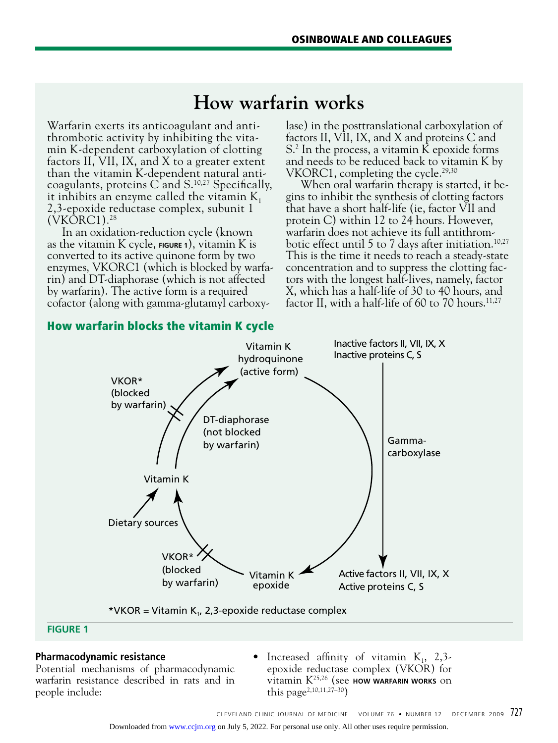## **How warfarin works**

Warfarin exerts its anticoagulant and antithrombotic activity by inhibiting the vitamin K-dependent carboxylation of clotting factors II, VII, IX, and X to a greater extent than the vitamin K-dependent natural anticoagulants, proteins  $\hat{C}$  and  $S$ <sup>10,27</sup> Specifically, it inhibits an enzyme called the vitamin  $K_1$ 2,3-epoxide reductase complex, subunit 1 (VKORC1).28

In an oxidation-reduction cycle (known as the vitamin K cycle, **FIGURE 1**), vitamin K is converted to its active quinone form by two enzymes, VKORC1 (which is blocked by warfarin) and DT-diaphorase (which is not affected by warfarin). The active form is a required cofactor (along with gamma-glutamyl carboxylase) in the posttranslational carboxylation of factors II, VII, IX, and X and proteins C and S.2 In the process, a vitamin K epoxide forms and needs to be reduced back to vitamin K by VKORC1, completing the cycle.<sup>29,30</sup>

When oral warfarin therapy is started, it begins to inhibit the synthesis of clotting factors that have a short half-life (ie, factor VII and protein C) within 12 to 24 hours. However, warfarin does not achieve its full antithrombotic effect until 5 to 7 days after initiation.<sup>10,27</sup> This is the time it needs to reach a steady-state concentration and to suppress the clotting factors with the longest half-lives, namely, factor X, which has a half-life of 30 to 40 hours, and factor II, with a half-life of 60 to 70 hours.<sup>11,27</sup>

#### How warfarin blocks the vitamin K cycle



 $*$ VKOR = Vitamin K<sub>1</sub>, 2,3-epoxide reductase complex

#### **FIGURE 1**

#### **Pharmacodynamic resistance**

Potential mechanisms of pharmacodynamic warfarin resistance described in rats and in people include:

Increased affinity of vitamin  $K_1$ , 2,3epoxide reductase complex (VKOR) for vitamin K25,26 (see **How warfarin works** on this page2,10,11,27–30)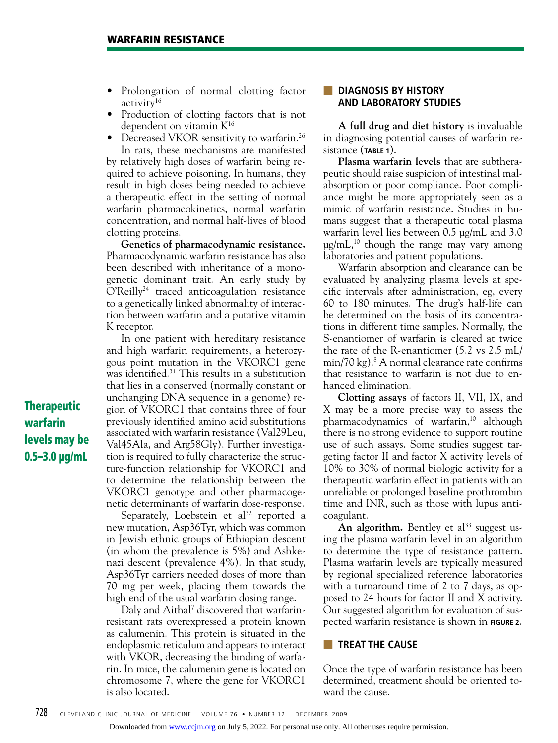- Prolongation of normal clotting factor activity<sup>16</sup>
- Production of clotting factors that is not dependent on vitamin K16

• Decreased VKOR sensitivity to warfarin.<sup>26</sup> In rats, these mechanisms are manifested by relatively high doses of warfarin being required to achieve poisoning. In humans, they result in high doses being needed to achieve a therapeutic effect in the setting of normal warfarin pharmacokinetics, normal warfarin concentration, and normal half-lives of blood clotting proteins.

**Genetics of pharmacodynamic resistance.**  Pharmacodynamic warfarin resistance has also been described with inheritance of a monogenetic dominant trait. An early study by  $O'Relly<sup>24</sup>$  traced anticoagulation resistance to a genetically linked abnormality of interaction between warfarin and a putative vitamin K receptor.

In one patient with hereditary resistance and high warfarin requirements, a heterozygous point mutation in the VKORC1 gene was identified.<sup>31</sup> This results in a substitution that lies in a conserved (normally constant or unchanging DNA sequence in a genome) region of VKORC1 that contains three of four previously identified amino acid substitutions associated with warfarin resistance (Val29Leu, Val45Ala, and Arg58Gly). Further investigation is required to fully characterize the structure-function relationship for VKORC1 and to determine the relationship between the VKORC1 genotype and other pharmacogenetic determinants of warfarin dose-response.

Separately, Loebstein et  $al^{32}$  reported a new mutation, Asp36Tyr, which was common in Jewish ethnic groups of Ethiopian descent (in whom the prevalence is 5%) and Ashkenazi descent (prevalence 4%). In that study, Asp36Tyr carriers needed doses of more than 70 mg per week, placing them towards the high end of the usual warfarin dosing range.

Daly and Aithal<sup>7</sup> discovered that warfarinresistant rats overexpressed a protein known as calumenin. This protein is situated in the endoplasmic reticulum and appears to interact with VKOR, decreasing the binding of warfarin. In mice, the calumenin gene is located on chromosome 7, where the gene for VKORC1 is also located.

#### ■ **Diagnosis BY HISTORY AND LABORATORY STUDIES**

**A full drug and diet history** is invaluable in diagnosing potential causes of warfarin resistance (**Table 1**).

**Plasma warfarin levels** that are subtherapeutic should raise suspicion of intestinal malabsorption or poor compliance. Poor compliance might be more appropriately seen as a mimic of warfarin resistance. Studies in humans suggest that a therapeutic total plasma warfarin level lies between 0.5 μg/mL and 3.0  $\mu$ g/mL,<sup>10</sup> though the range may vary among laboratories and patient populations.

Warfarin absorption and clearance can be evaluated by analyzing plasma levels at specific intervals after administration, eg, every 60 to 180 minutes. The drug's half-life can be determined on the basis of its concentrations in different time samples. Normally, the S-enantiomer of warfarin is cleared at twice the rate of the R-enantiomer (5.2 vs 2.5 mL/ min/70 kg).8 A normal clearance rate confirms that resistance to warfarin is not due to enhanced elimination.

**Clotting assays** of factors II, VII, IX, and X may be a more precise way to assess the pharmacodynamics of warfarin,<sup>10</sup> although there is no strong evidence to support routine use of such assays. Some studies suggest targeting factor II and factor X activity levels of 10% to 30% of normal biologic activity for a therapeutic warfarin effect in patients with an unreliable or prolonged baseline prothrombin time and INR, such as those with lupus anticoagulant.

An algorithm. Bentley et  $al^{33}$  suggest using the plasma warfarin level in an algorithm to determine the type of resistance pattern. Plasma warfarin levels are typically measured by regional specialized reference laboratories with a turnaround time of 2 to 7 days, as opposed to 24 hours for factor II and X activity. Our suggested algorithm for evaluation of suspected warfarin resistance is shown in **Figure 2**.

#### ■ **Treat THE CAUSE**

Once the type of warfarin resistance has been determined, treatment should be oriented toward the cause.

**Therapeutic** warfarin levels may be 0.5–3.0 μg/mL

Downloaded from [www.ccjm.org](http://www.ccjm.org/) on July 5, 2022. For personal use only. All other uses require permission.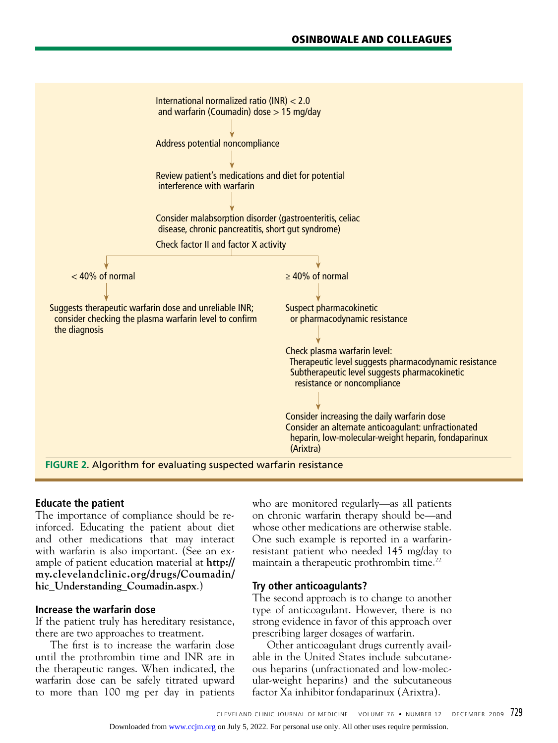

#### **Educate the patient**

The importance of compliance should be reinforced. Educating the patient about diet and other medications that may interact with warfarin is also important. (See an example of patient education material at **http:// my.clevelandclinic.org/drugs/Coumadin/ hic\_Understanding\_Coumadin.aspx**.)

#### **Increase the warfarin dose**

If the patient truly has hereditary resistance, there are two approaches to treatment.

The first is to increase the warfarin dose until the prothrombin time and INR are in the therapeutic ranges. When indicated, the warfarin dose can be safely titrated upward to more than 100 mg per day in patients

who are monitored regularly—as all patients on chronic warfarin therapy should be—and whose other medications are otherwise stable. One such example is reported in a warfarinresistant patient who needed 145 mg/day to maintain a therapeutic prothrombin time.<sup>22</sup>

#### **Try other anticoagulants?**

The second approach is to change to another type of anticoagulant. However, there is no strong evidence in favor of this approach over prescribing larger dosages of warfarin.

Other anticoagulant drugs currently available in the United States include subcutaneous heparins (unfractionated and low-molecular-weight heparins) and the subcutaneous factor Xa inhibitor fondaparinux (Arixtra).